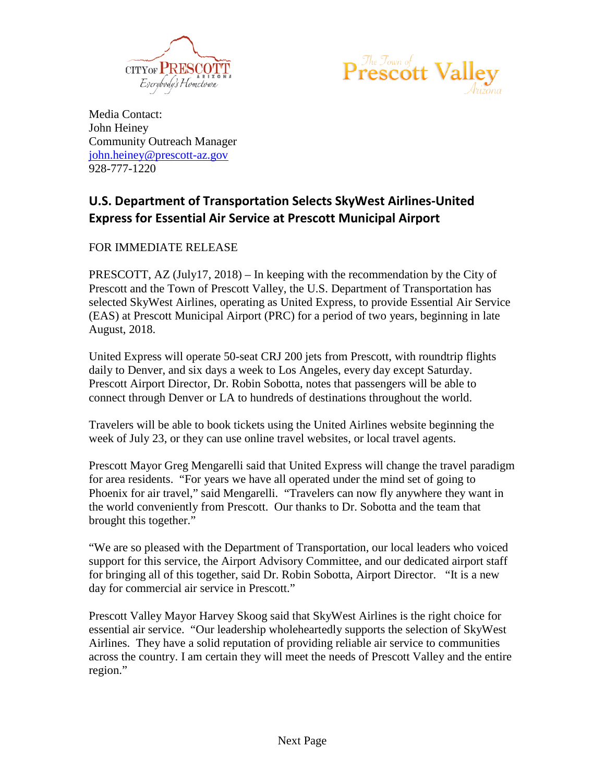



Media Contact: John Heiney Community Outreach Manager [john.heiney@prescott-az.gov](mailto:john.heiney@prescott-az.gov) 928-777-1220

## **U.S. Department of Transportation Selects SkyWest Airlines-United Express for Essential Air Service at Prescott Municipal Airport**

FOR IMMEDIATE RELEASE

PRESCOTT,  $AZ$  (July17, 2018) – In keeping with the recommendation by the City of Prescott and the Town of Prescott Valley, the U.S. Department of Transportation has selected SkyWest Airlines, operating as United Express, to provide Essential Air Service (EAS) at Prescott Municipal Airport (PRC) for a period of two years, beginning in late August, 2018.

United Express will operate 50-seat CRJ 200 jets from Prescott, with roundtrip flights daily to Denver, and six days a week to Los Angeles, every day except Saturday. Prescott Airport Director, Dr. Robin Sobotta, notes that passengers will be able to connect through Denver or LA to hundreds of destinations throughout the world.

Travelers will be able to book tickets using the United Airlines website beginning the week of July 23, or they can use online travel websites, or local travel agents.

Prescott Mayor Greg Mengarelli said that United Express will change the travel paradigm for area residents. "For years we have all operated under the mind set of going to Phoenix for air travel," said Mengarelli. "Travelers can now fly anywhere they want in the world conveniently from Prescott. Our thanks to Dr. Sobotta and the team that brought this together."

"We are so pleased with the Department of Transportation, our local leaders who voiced support for this service, the Airport Advisory Committee, and our dedicated airport staff for bringing all of this together, said Dr. Robin Sobotta, Airport Director. "It is a new day for commercial air service in Prescott."

Prescott Valley Mayor Harvey Skoog said that SkyWest Airlines is the right choice for essential air service. "Our leadership wholeheartedly supports the selection of SkyWest Airlines. They have a solid reputation of providing reliable air service to communities across the country. I am certain they will meet the needs of Prescott Valley and the entire region."